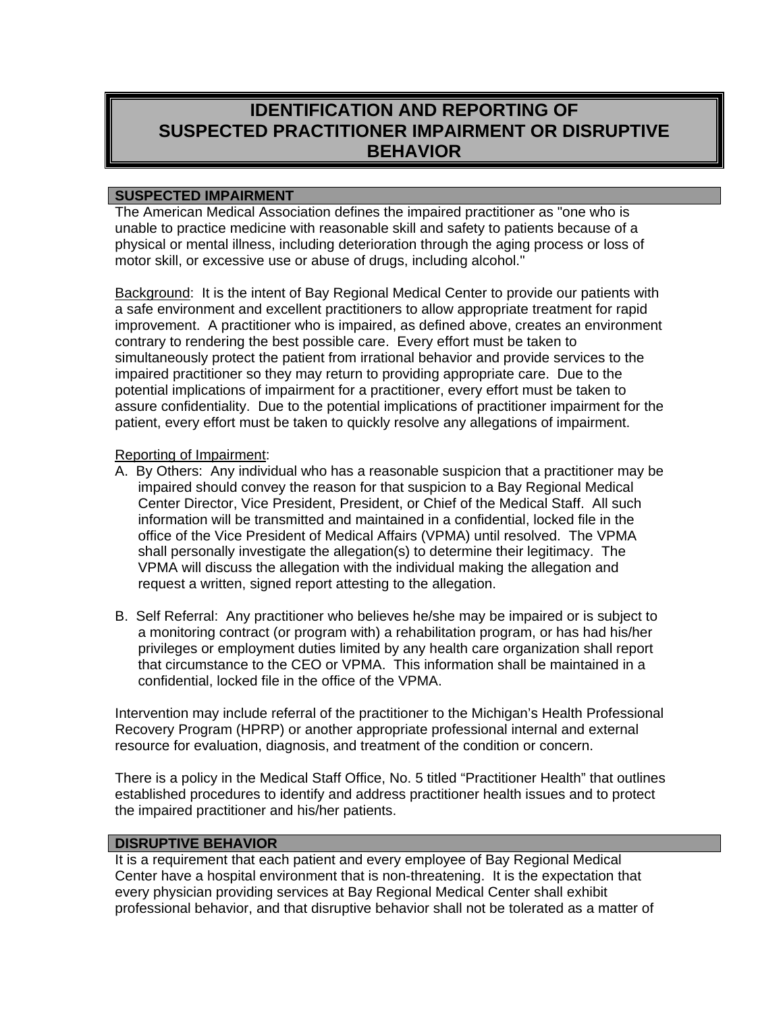# **IDENTIFICATION AND REPORTING OF SUSPECTED PRACTITIONER IMPAIRMENT OR DISRUPTIVE BEHAVIOR**

#### **SUSPECTED IMPAIRMENT**

The American Medical Association defines the impaired practitioner as "one who is unable to practice medicine with reasonable skill and safety to patients because of a physical or mental illness, including deterioration through the aging process or loss of motor skill, or excessive use or abuse of drugs, including alcohol."

Background: It is the intent of Bay Regional Medical Center to provide our patients with a safe environment and excellent practitioners to allow appropriate treatment for rapid improvement. A practitioner who is impaired, as defined above, creates an environment contrary to rendering the best possible care. Every effort must be taken to simultaneously protect the patient from irrational behavior and provide services to the impaired practitioner so they may return to providing appropriate care. Due to the potential implications of impairment for a practitioner, every effort must be taken to assure confidentiality. Due to the potential implications of practitioner impairment for the patient, every effort must be taken to quickly resolve any allegations of impairment.

#### Reporting of Impairment:

- A. By Others: Any individual who has a reasonable suspicion that a practitioner may be impaired should convey the reason for that suspicion to a Bay Regional Medical Center Director, Vice President, President, or Chief of the Medical Staff. All such information will be transmitted and maintained in a confidential, locked file in the office of the Vice President of Medical Affairs (VPMA) until resolved. The VPMA shall personally investigate the allegation(s) to determine their legitimacy. The VPMA will discuss the allegation with the individual making the allegation and request a written, signed report attesting to the allegation.
- B. Self Referral: Any practitioner who believes he/she may be impaired or is subject to a monitoring contract (or program with) a rehabilitation program, or has had his/her privileges or employment duties limited by any health care organization shall report that circumstance to the CEO or VPMA. This information shall be maintained in a confidential, locked file in the office of the VPMA.

Intervention may include referral of the practitioner to the Michigan's Health Professional Recovery Program (HPRP) or another appropriate professional internal and external resource for evaluation, diagnosis, and treatment of the condition or concern.

There is a policy in the Medical Staff Office, No. 5 titled "Practitioner Health" that outlines established procedures to identify and address practitioner health issues and to protect the impaired practitioner and his/her patients.

### **DISRUPTIVE BEHAVIOR**

It is a requirement that each patient and every employee of Bay Regional Medical Center have a hospital environment that is non-threatening. It is the expectation that every physician providing services at Bay Regional Medical Center shall exhibit professional behavior, and that disruptive behavior shall not be tolerated as a matter of